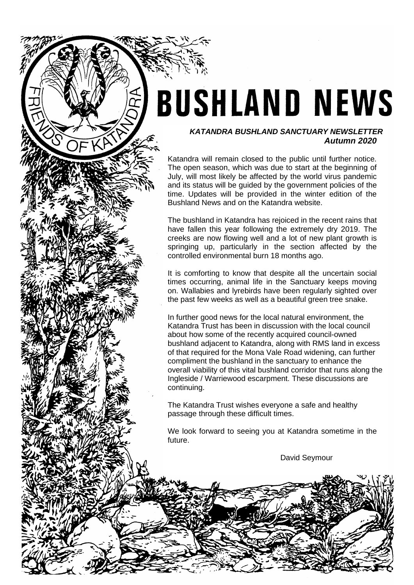# **BUSHLAND NEWS**

## *KATANDRA BUSHLAND SANCTUARY NEWSLETTER Autumn 2020*

Katandra will remain closed to the public until further notice. The open season, which was due to start at the beginning of July, will most likely be affected by the world virus pandemic and its status will be guided by the government policies of the time. Updates will be provided in the winter edition of the Bushland News and on the Katandra website.

The bushland in Katandra has rejoiced in the recent rains that have fallen this year following the extremely dry 2019. The creeks are now flowing well and a lot of new plant growth is springing up, particularly in the section affected by the controlled environmental burn 18 months ago.

It is comforting to know that despite all the uncertain social times occurring, animal life in the Sanctuary keeps moving on. Wallabies and lyrebirds have been regularly sighted over the past few weeks as well as a beautiful green tree snake.

In further good news for the local natural environment, the Katandra Trust has been in discussion with the local council about how some of the recently acquired council-owned bushland adjacent to Katandra, along with RMS land in excess of that required for the Mona Vale Road widening, can further compliment the bushland in the sanctuary to enhance the overall viability of this vital bushland corridor that runs along the Ingleside / Warriewood escarpment. These discussions are continuing.

The Katandra Trust wishes everyone a safe and healthy passage through these difficult times.

We look forward to seeing you at Katandra sometime in the future.

David Seymour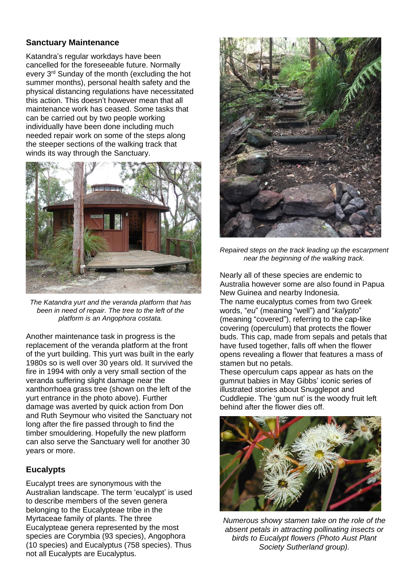# **Sanctuary Maintenance**

Katandra's regular workdays have been cancelled for the foreseeable future. Normally every 3rd Sunday of the month (excluding the hot summer months), personal health safety and the physical distancing regulations have necessitated this action. This doesn't however mean that all maintenance work has ceased. Some tasks that can be carried out by two people working individually have been done including much needed repair work on some of the steps along the steeper sections of the walking track that winds its way through the Sanctuary.



*The Katandra yurt and the veranda platform that has been in need of repair. The tree to the left of the platform is an Angophora costata.*

Another maintenance task in progress is the replacement of the veranda platform at the front of the yurt building. This yurt was built in the early 1980s so is well over 30 years old. It survived the fire in 1994 with only a very small section of the veranda suffering slight damage near the xanthorrhoea grass tree (shown on the left of the yurt entrance in the photo above). Further damage was averted by quick action from Don and Ruth Seymour who visited the Sanctuary not long after the fire passed through to find the timber smouldering. Hopefully the new platform can also serve the Sanctuary well for another 30 years or more.

# **Eucalypts**

Eucalypt trees are synonymous with the Australian landscape. The term 'eucalypt' is used to describe members of the seven genera belonging to the Eucalypteae tribe in the Myrtaceae family of plants. The three Eucalypteae genera represented by the most species are Corymbia (93 species), Angophora (10 species) and Eucalyptus (758 species). Thus not all Eucalypts are Eucalyptus.



*Repaired steps on the track leading up the escarpment near the beginning of the walking track.*

Nearly all of these species are endemic to Australia however some are also found in Papua New Guinea and nearby Indonesia. The name eucalyptus comes from two Greek words, "*eu*" (meaning "well") and "*kalypto*" (meaning "covered"), referring to the cap-like covering (operculum) that protects the flower buds. This cap, made from sepals and petals that have fused together, falls off when the flower opens revealing a flower that features a mass of stamen but no petals.

These operculum caps appear as hats on the gumnut babies in May Gibbs' iconic series of illustrated stories about Snugglepot and Cuddlepie. The 'gum nut' is the woody fruit left behind after the flower dies off.



*Numerous showy stamen take on the role of the absent petals in attracting pollinating insects or birds to Eucalypt flowers (Photo Aust Plant Society Sutherland group).*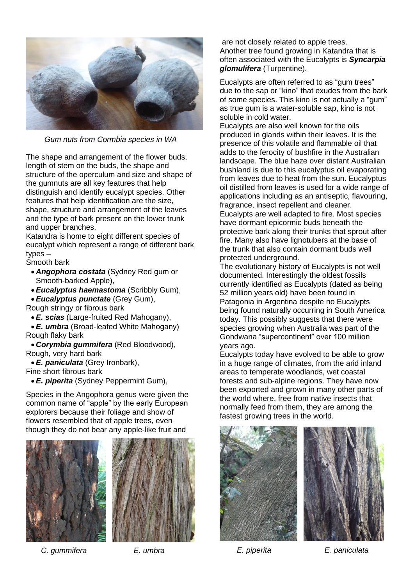

*Gum nuts from Cormbia species in WA* 

The shape and arrangement of the flower buds, length of stem on the buds, the shape and structure of the operculum and size and shape of the gumnuts are all key features that help distinguish and identify eucalypt species. Other features that help identification are the size, shape, structure and arrangement of the leaves and the type of bark present on the lower trunk and upper branches.

Katandra is home to eight different species of eucalypt which represent a range of different bark types –

Smooth bark

- *Angophora costata* (Sydney Red gum or Smooth-barked Apple),
- *Eucalyptus haemastoma* (Scribbly Gum),
- *Eucalyptus punctate* (Grey Gum),

Rough stringy or fibrous bark

• *E. scias* (Large-fruited Red Mahogany),

• *E. umbra* (Broad-leafed White Mahogany) Rough flaky bark

• *Corymbia gummifera* (Red Bloodwood), Rough, very hard bark

• *E. paniculata* (Grey Ironbark), Fine short fibrous bark

• *E. piperita* (Sydney Peppermint Gum),

Species in the Angophora genus were given the common name of "apple" by the early European explorers because their foliage and show of flowers resembled that of apple trees, even though they do not bear any apple-like fruit and





 *C. gummifera E. umbra*

are not closely related to apple trees. Another tree found growing in Katandra that is often associated with the Eucalypts is *Syncarpia glomulifera* (Turpentine).

Eucalypts are often referred to as "gum trees" due to the sap or "kino" that exudes from the bark of some species. This kino is not actually a "gum" as true gum is a water-soluble sap, kino is not soluble in cold water.

Eucalypts are also well known for the oils produced in glands within their leaves. It is the presence of this volatile and flammable oil that adds to the ferocity of bushfire in the Australian landscape. The blue haze over distant Australian bushland is due to this eucalyptus oil evaporating from leaves due to heat from the sun. Eucalyptus oil distilled from leaves is used for a wide range of applications including as an antiseptic, flavouring, fragrance, insect repellent and cleaner. Eucalypts are well adapted to fire. Most species have dormant epicormic buds beneath the protective bark along their trunks that sprout after fire. Many also have lignotubers at the base of the trunk that also contain dormant buds well protected underground.

The evolutionary history of Eucalypts is not well documented. Interestingly the oldest fossils currently identified as Eucalypts (dated as being 52 million years old) have been found in Patagonia in Argentina despite no Eucalypts being found naturally occurring in South America today. This possibly suggests that there were species growing when Australia was part of the Gondwana "supercontinent" over 100 million years ago.

Eucalypts today have evolved to be able to grow in a huge range of climates, from the arid inland areas to temperate woodlands, wet coastal forests and sub-alpine regions. They have now been exported and grown in many other parts of the world where, free from native insects that normally feed from them, they are among the fastest growing trees in the world.





 *E. piperita E. paniculata*